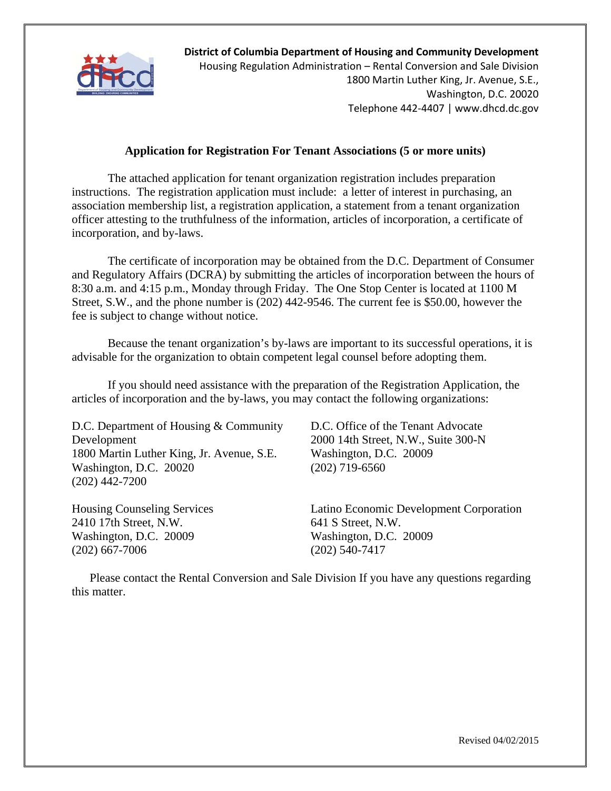

**District of Columbia Department of Housing and Community Development** Housing Regulation Administration – Rental Conversion and Sale Division 1800 Martin Luther King, Jr. Avenue, S.E., Washington, D.C. 20020 Telephone 442‐4407 | www.dhcd.dc.gov

#### **Application for Registration For Tenant Associations (5 or more units)**

The attached application for tenant organization registration includes preparation instructions. The registration application must include: a letter of interest in purchasing, an association membership list, a registration application, a statement from a tenant organization officer attesting to the truthfulness of the information, articles of incorporation, a certificate of incorporation, and by-laws.

The certificate of incorporation may be obtained from the D.C. Department of Consumer and Regulatory Affairs (DCRA) by submitting the articles of incorporation between the hours of 8:30 a.m. and 4:15 p.m., Monday through Friday. The One Stop Center is located at 1100 M Street, S.W., and the phone number is (202) 442-9546. The current fee is \$50.00, however the fee is subject to change without notice.

Because the tenant organization's by-laws are important to its successful operations, it is advisable for the organization to obtain competent legal counsel before adopting them.

If you should need assistance with the preparation of the Registration Application, the articles of incorporation and the by-laws, you may contact the following organizations:

D.C. Department of Housing & Community Development 1800 Martin Luther King, Jr. Avenue, S.E. Washington, D.C. 20020 (202) 442-7200

Housing Counseling Services 2410 17th Street, N.W. Washington, D.C. 20009 (202) 667-7006

D.C. Office of the Tenant Advocate 2000 14th Street, N.W., Suite 300-N Washington, D.C. 20009 (202) 719-6560

Latino Economic Development Corporation 641 S Street, N.W. Washington, D.C. 20009 (202) 540-7417

Please contact the Rental Conversion and Sale Division If you have any questions regarding this matter.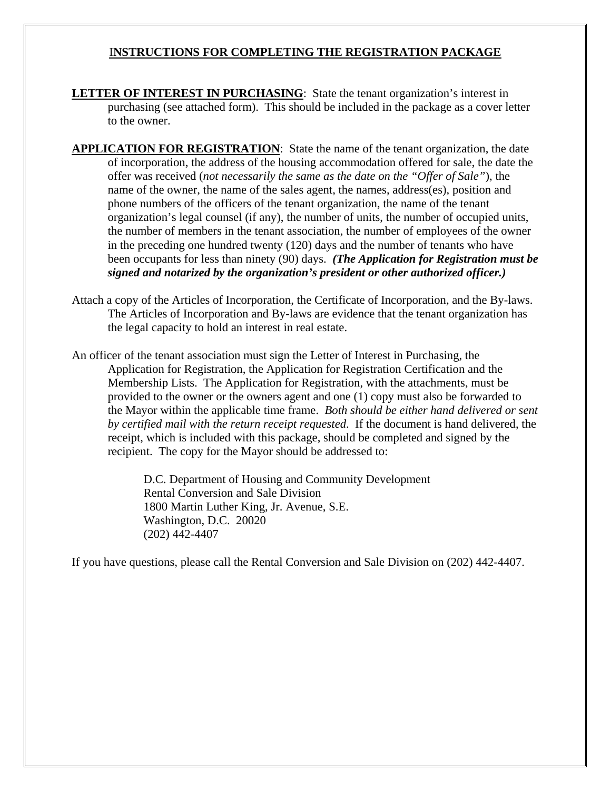## I**NSTRUCTIONS FOR COMPLETING THE REGISTRATION PACKAGE**

- **LETTER OF INTEREST IN PURCHASING:** State the tenant organization's interest in purchasing (see attached form). This should be included in the package as a cover letter to the owner.
- **APPLICATION FOR REGISTRATION**: State the name of the tenant organization, the date of incorporation, the address of the housing accommodation offered for sale, the date the offer was received (*not necessarily the same as the date on the "Offer of Sale"*), the name of the owner, the name of the sales agent, the names, address(es), position and phone numbers of the officers of the tenant organization, the name of the tenant organization's legal counsel (if any), the number of units, the number of occupied units, the number of members in the tenant association, the number of employees of the owner in the preceding one hundred twenty (120) days and the number of tenants who have been occupants for less than ninety (90) days. *(The Application for Registration must be signed and notarized by the organization's president or other authorized officer.)*
- Attach a copy of the Articles of Incorporation, the Certificate of Incorporation, and the By-laws. The Articles of Incorporation and By-laws are evidence that the tenant organization has the legal capacity to hold an interest in real estate.
- An officer of the tenant association must sign the Letter of Interest in Purchasing, the Application for Registration, the Application for Registration Certification and the Membership Lists. The Application for Registration, with the attachments, must be provided to the owner or the owners agent and one (1) copy must also be forwarded to the Mayor within the applicable time frame. *Both should be either hand delivered or sent by certified mail with the return receipt requested*. If the document is hand delivered, the receipt, which is included with this package, should be completed and signed by the recipient. The copy for the Mayor should be addressed to:

D.C. Department of Housing and Community Development Rental Conversion and Sale Division 1800 Martin Luther King, Jr. Avenue, S.E. Washington, D.C. 20020 (202) 442-4407

If you have questions, please call the Rental Conversion and Sale Division on (202) 442-4407.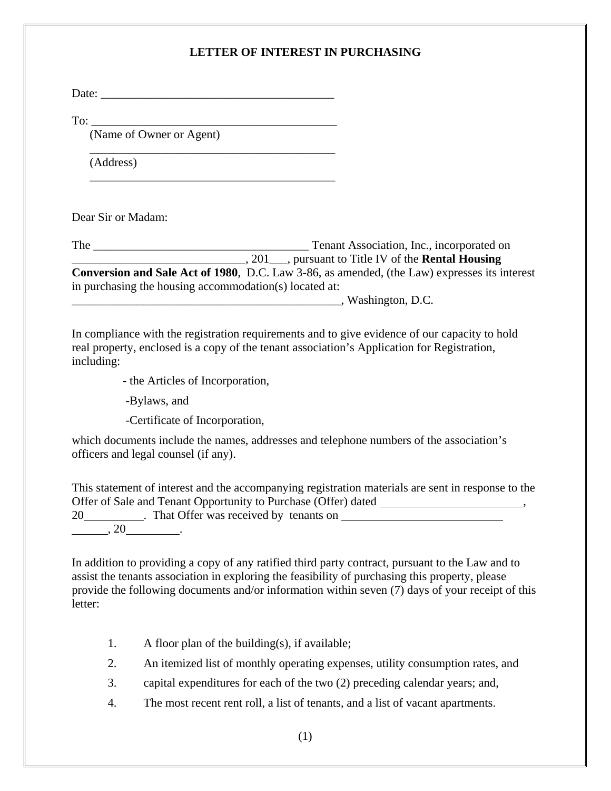## **LETTER OF INTEREST IN PURCHASING**

Date:

 $\frac{1}{\sqrt{2}}$  ,  $\frac{1}{\sqrt{2}}$  ,  $\frac{1}{\sqrt{2}}$  ,  $\frac{1}{\sqrt{2}}$  ,  $\frac{1}{\sqrt{2}}$  ,  $\frac{1}{\sqrt{2}}$  ,  $\frac{1}{\sqrt{2}}$  ,  $\frac{1}{\sqrt{2}}$  ,  $\frac{1}{\sqrt{2}}$  ,  $\frac{1}{\sqrt{2}}$  ,  $\frac{1}{\sqrt{2}}$  ,  $\frac{1}{\sqrt{2}}$  ,  $\frac{1}{\sqrt{2}}$  ,  $\frac{1}{\sqrt{2}}$  ,  $\frac{1}{\sqrt{2}}$ 

 $\frac{1}{2}$  ,  $\frac{1}{2}$  ,  $\frac{1}{2}$  ,  $\frac{1}{2}$  ,  $\frac{1}{2}$  ,  $\frac{1}{2}$  ,  $\frac{1}{2}$  ,  $\frac{1}{2}$  ,  $\frac{1}{2}$  ,  $\frac{1}{2}$  ,  $\frac{1}{2}$  ,  $\frac{1}{2}$  ,  $\frac{1}{2}$  ,  $\frac{1}{2}$  ,  $\frac{1}{2}$  ,  $\frac{1}{2}$  ,  $\frac{1}{2}$  ,  $\frac{1}{2}$  ,  $\frac{1$ 

 $To:$ 

(Name of Owner or Agent)

(Address)

Dear Sir or Madam:

The \_\_\_\_\_\_\_\_\_\_\_\_\_\_\_\_\_\_\_\_\_\_\_\_\_\_\_\_\_\_\_\_\_\_\_\_ Tenant Association, Inc., incorporated on \_\_\_\_\_\_\_\_\_\_\_\_\_\_\_\_\_\_\_\_\_\_\_\_\_\_\_\_\_, 201\_\_\_, pursuant to Title IV of the **Rental Housing Conversion and Sale Act of 1980**, D.C. Law 3-86, as amended, (the Law) expresses its interest in purchasing the housing accommodation(s) located at:

\_\_\_\_\_\_\_\_\_\_\_\_\_\_\_\_\_\_\_\_\_\_\_\_\_\_\_\_\_\_\_\_\_\_\_\_\_\_\_\_\_\_\_\_\_, Washington, D.C.

In compliance with the registration requirements and to give evidence of our capacity to hold real property, enclosed is a copy of the tenant association's Application for Registration, including:

- the Articles of Incorporation,

-Bylaws, and

-Certificate of Incorporation,

which documents include the names, addresses and telephone numbers of the association's officers and legal counsel (if any).

This statement of interest and the accompanying registration materials are sent in response to the Offer of Sale and Tenant Opportunity to Purchase (Offer) dated , 20 **has Community 20 COMEX 20 COMEX 20 COMEX 20 COMEX 20 COMEX 20 COMEX 20 COMEX 20 COMEX 20 COMEX 20 COMEX 20 COMEX 20 COMEX 20 COMEX 20 COMEX 20 COMEX 20 COMEX 20 COMEX 20 COMEX 20 C**  $, 20$   $.$ 

In addition to providing a copy of any ratified third party contract, pursuant to the Law and to assist the tenants association in exploring the feasibility of purchasing this property, please provide the following documents and/or information within seven (7) days of your receipt of this letter:

- 1. A floor plan of the building(s), if available;
- 2. An itemized list of monthly operating expenses, utility consumption rates, and
- 3. capital expenditures for each of the two (2) preceding calendar years; and,
- 4. The most recent rent roll, a list of tenants, and a list of vacant apartments.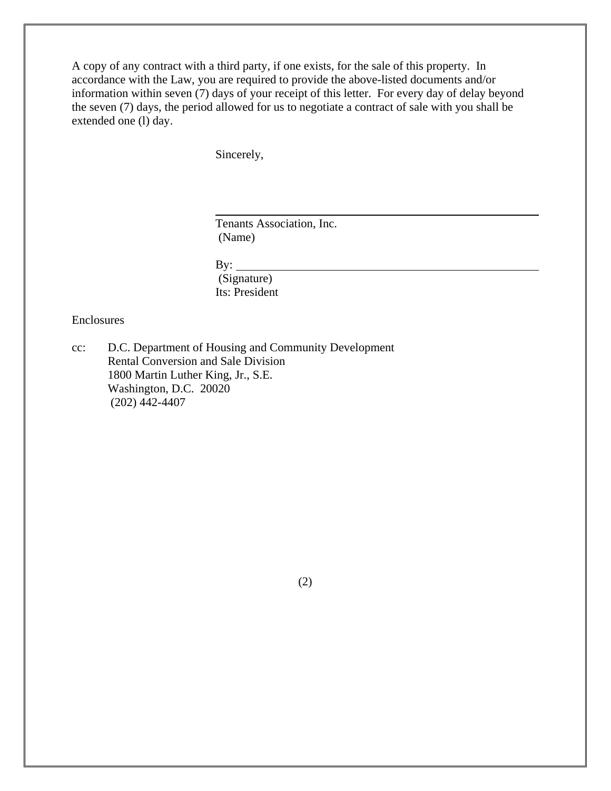A copy of any contract with a third party, if one exists, for the sale of this property. In accordance with the Law, you are required to provide the above-listed documents and/or information within seven (7) days of your receipt of this letter. For every day of delay beyond the seven (7) days, the period allowed for us to negotiate a contract of sale with you shall be extended one (l) day.

Sincerely,

l

Tenants Association, Inc. (Name)

By:  $\qquad \qquad$  (Signature) Its: President

Enclosures

cc: D.C. Department of Housing and Community Development Rental Conversion and Sale Division 1800 Martin Luther King, Jr., S.E. Washington, D.C. 20020 (202) 442-4407

(2)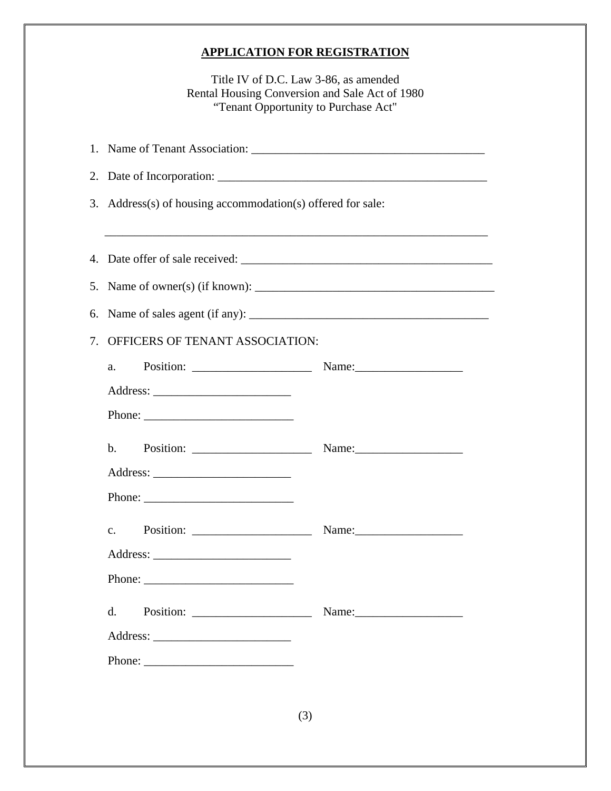## **APPLICATION FOR REGISTRATION**

Title IV of D.C. Law 3-86, as amended Rental Housing Conversion and Sale Act of 1980 "Tenant Opportunity to Purchase Act"

|    | 3. Address(s) of housing accommodation(s) offered for sale:                                                                                                                                                                                                                                                                                                                                                                   |                                                                                   |  |
|----|-------------------------------------------------------------------------------------------------------------------------------------------------------------------------------------------------------------------------------------------------------------------------------------------------------------------------------------------------------------------------------------------------------------------------------|-----------------------------------------------------------------------------------|--|
|    |                                                                                                                                                                                                                                                                                                                                                                                                                               | ,我们也不能在这里的时候,我们也不能在这里的时候,我们也不能会在这里的时候,我们也不能会在这里的时候,我们也不能会在这里的时候,我们也不能会在这里的时候,我们也不 |  |
|    |                                                                                                                                                                                                                                                                                                                                                                                                                               |                                                                                   |  |
|    |                                                                                                                                                                                                                                                                                                                                                                                                                               |                                                                                   |  |
|    |                                                                                                                                                                                                                                                                                                                                                                                                                               |                                                                                   |  |
| 7. | OFFICERS OF TENANT ASSOCIATION:                                                                                                                                                                                                                                                                                                                                                                                               |                                                                                   |  |
|    | a.                                                                                                                                                                                                                                                                                                                                                                                                                            |                                                                                   |  |
|    |                                                                                                                                                                                                                                                                                                                                                                                                                               |                                                                                   |  |
|    | Phone: $\frac{1}{\sqrt{1-\frac{1}{2}}\sqrt{1-\frac{1}{2}}\sqrt{1-\frac{1}{2}}\sqrt{1-\frac{1}{2}}\sqrt{1-\frac{1}{2}}\sqrt{1-\frac{1}{2}}\sqrt{1-\frac{1}{2}}\sqrt{1-\frac{1}{2}}\sqrt{1-\frac{1}{2}}\sqrt{1-\frac{1}{2}}\sqrt{1-\frac{1}{2}}\sqrt{1-\frac{1}{2}}\sqrt{1-\frac{1}{2}}\sqrt{1-\frac{1}{2}}\sqrt{1-\frac{1}{2}}\sqrt{1-\frac{1}{2}}\sqrt{1-\frac{1}{2}}\sqrt{1-\frac{1}{2}}\sqrt{1-\frac{1}{2$                  |                                                                                   |  |
|    | $\mathbf{b}$ .<br>Position: $\frac{1}{\sqrt{1-\frac{1}{2}}\sqrt{1-\frac{1}{2}}\sqrt{1-\frac{1}{2}}\sqrt{1-\frac{1}{2}}\sqrt{1-\frac{1}{2}}\sqrt{1-\frac{1}{2}}\sqrt{1-\frac{1}{2}}\sqrt{1-\frac{1}{2}}\sqrt{1-\frac{1}{2}}\sqrt{1-\frac{1}{2}}\sqrt{1-\frac{1}{2}}\sqrt{1-\frac{1}{2}}\sqrt{1-\frac{1}{2}}\sqrt{1-\frac{1}{2}}\sqrt{1-\frac{1}{2}}\sqrt{1-\frac{1}{2}}\sqrt{1-\frac{1}{2}}\sqrt{1-\frac{1}{2}}\sqrt{1-\frac{$ |                                                                                   |  |
|    |                                                                                                                                                                                                                                                                                                                                                                                                                               |                                                                                   |  |
|    | Phone: $\frac{1}{\sqrt{1-\frac{1}{2}}\sqrt{1-\frac{1}{2}}\sqrt{1-\frac{1}{2}}\sqrt{1-\frac{1}{2}}\sqrt{1-\frac{1}{2}}\sqrt{1-\frac{1}{2}}\sqrt{1-\frac{1}{2}}\sqrt{1-\frac{1}{2}}\sqrt{1-\frac{1}{2}}\sqrt{1-\frac{1}{2}}\sqrt{1-\frac{1}{2}}\sqrt{1-\frac{1}{2}}\sqrt{1-\frac{1}{2}}\sqrt{1-\frac{1}{2}}\sqrt{1-\frac{1}{2}}\sqrt{1-\frac{1}{2}}\sqrt{1-\frac{1}{2}}\sqrt{1-\frac{1}{2}}\sqrt{1-\frac{1}{2$                  |                                                                                   |  |
|    | C <sub>1</sub>                                                                                                                                                                                                                                                                                                                                                                                                                |                                                                                   |  |
|    |                                                                                                                                                                                                                                                                                                                                                                                                                               |                                                                                   |  |
|    | Phone:                                                                                                                                                                                                                                                                                                                                                                                                                        |                                                                                   |  |
|    | d.                                                                                                                                                                                                                                                                                                                                                                                                                            | Name: $\frac{1}{2}$                                                               |  |
|    |                                                                                                                                                                                                                                                                                                                                                                                                                               |                                                                                   |  |
|    |                                                                                                                                                                                                                                                                                                                                                                                                                               |                                                                                   |  |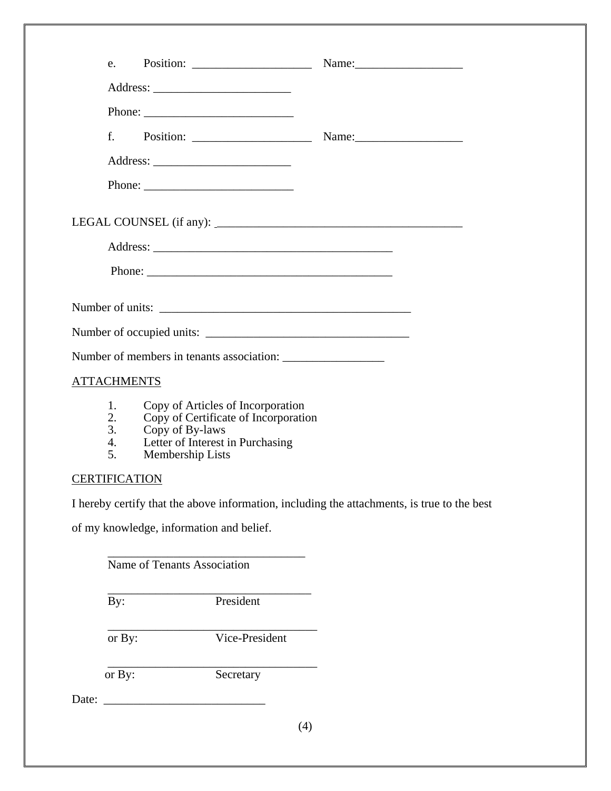| e.                         |              | Position: $\frac{1}{\sqrt{1-\frac{1}{2}}\sqrt{1-\frac{1}{2}}\sqrt{1-\frac{1}{2}}\sqrt{1-\frac{1}{2}}\sqrt{1-\frac{1}{2}}\sqrt{1-\frac{1}{2}}\sqrt{1-\frac{1}{2}}\sqrt{1-\frac{1}{2}}\sqrt{1-\frac{1}{2}}\sqrt{1-\frac{1}{2}}\sqrt{1-\frac{1}{2}}\sqrt{1-\frac{1}{2}}\sqrt{1-\frac{1}{2}}\sqrt{1-\frac{1}{2}}\sqrt{1-\frac{1}{2}}\sqrt{1-\frac{1}{2}}\sqrt{1-\frac{1}{2}}\sqrt{1-\frac{1}{2}}\sqrt{1-\frac{$                                       |  |
|----------------------------|--------------|---------------------------------------------------------------------------------------------------------------------------------------------------------------------------------------------------------------------------------------------------------------------------------------------------------------------------------------------------------------------------------------------------------------------------------------------------|--|
|                            |              |                                                                                                                                                                                                                                                                                                                                                                                                                                                   |  |
|                            |              | Phone: $\frac{1}{\sqrt{1-\frac{1}{2}} \cdot \frac{1}{2} \cdot \frac{1}{2} \cdot \frac{1}{2} \cdot \frac{1}{2} \cdot \frac{1}{2} \cdot \frac{1}{2} \cdot \frac{1}{2} \cdot \frac{1}{2} \cdot \frac{1}{2} \cdot \frac{1}{2} \cdot \frac{1}{2} \cdot \frac{1}{2} \cdot \frac{1}{2} \cdot \frac{1}{2} \cdot \frac{1}{2} \cdot \frac{1}{2} \cdot \frac{1}{2} \cdot \frac{1}{2} \cdot \frac{1}{2} \cdot \frac{1}{2} \cdot \frac{1}{2} \cdot \frac{1}{2$ |  |
|                            | $f_{\rm{z}}$ | Position: $\frac{1}{\sqrt{1-\frac{1}{2}}\sqrt{1-\frac{1}{2}}\sqrt{1-\frac{1}{2}}\sqrt{1-\frac{1}{2}}\sqrt{1-\frac{1}{2}}\sqrt{1-\frac{1}{2}}\sqrt{1-\frac{1}{2}}\sqrt{1-\frac{1}{2}}\sqrt{1-\frac{1}{2}}\sqrt{1-\frac{1}{2}}\sqrt{1-\frac{1}{2}}\sqrt{1-\frac{1}{2}}\sqrt{1-\frac{1}{2}}\sqrt{1-\frac{1}{2}}\sqrt{1-\frac{1}{2}}\sqrt{1-\frac{1}{2}}\sqrt{1-\frac{1}{2}}\sqrt{1-\frac{1}{2}}\sqrt{1-\frac{$                                       |  |
|                            |              |                                                                                                                                                                                                                                                                                                                                                                                                                                                   |  |
|                            |              |                                                                                                                                                                                                                                                                                                                                                                                                                                                   |  |
|                            |              |                                                                                                                                                                                                                                                                                                                                                                                                                                                   |  |
|                            |              |                                                                                                                                                                                                                                                                                                                                                                                                                                                   |  |
|                            |              |                                                                                                                                                                                                                                                                                                                                                                                                                                                   |  |
|                            |              | Number of units:                                                                                                                                                                                                                                                                                                                                                                                                                                  |  |
|                            |              |                                                                                                                                                                                                                                                                                                                                                                                                                                                   |  |
|                            |              |                                                                                                                                                                                                                                                                                                                                                                                                                                                   |  |
| <b>ATTACHMENTS</b>         |              |                                                                                                                                                                                                                                                                                                                                                                                                                                                   |  |
| 1.<br>2.<br>3.<br>4.<br>5. |              | Copy of Articles of Incorporation<br>Copy of Certificate of Incorporation<br>Copy of By-laws<br>Letter of Interest in Purchasing<br>Membership Lists                                                                                                                                                                                                                                                                                              |  |
| <b>CERTIFICATION</b>       |              |                                                                                                                                                                                                                                                                                                                                                                                                                                                   |  |
|                            |              | I hereby certify that the above information, including the attachments, is true to the                                                                                                                                                                                                                                                                                                                                                            |  |
|                            |              | of my knowledge, information and belief.                                                                                                                                                                                                                                                                                                                                                                                                          |  |
|                            |              | Name of Tenants Association                                                                                                                                                                                                                                                                                                                                                                                                                       |  |

I hereby certify that the above information, including the attachments, is true to the best

| By:    | President      |
|--------|----------------|
| or By: | Vice-President |
| or By: | Secretary      |
|        |                |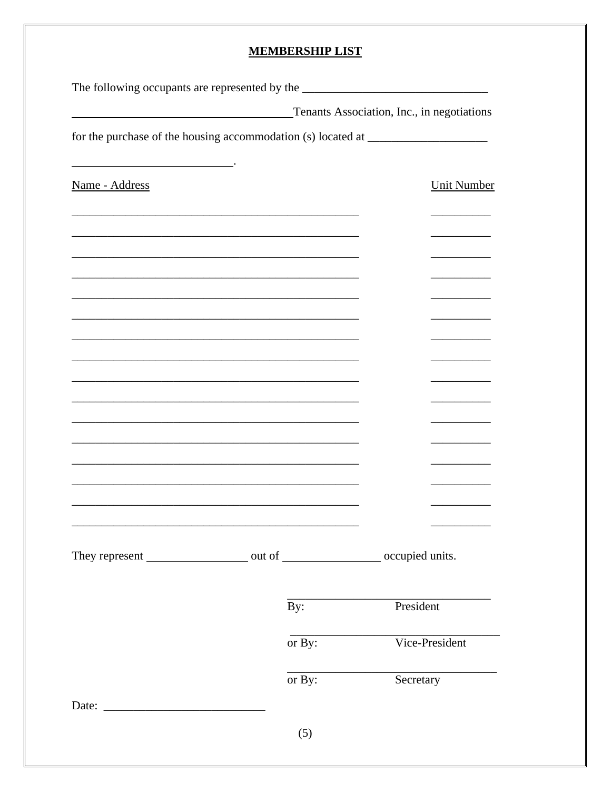### **MEMBERSHIP LIST**

| The following occupants are represented by the __________________________________ |                |                                                                                   |
|-----------------------------------------------------------------------------------|----------------|-----------------------------------------------------------------------------------|
|                                                                                   |                | Tenants Association, Inc., in negotiations                                        |
|                                                                                   |                | for the purchase of the housing accommodation (s) located at ____________________ |
| Name - Address                                                                    |                | <b>Unit Number</b>                                                                |
|                                                                                   |                |                                                                                   |
|                                                                                   |                |                                                                                   |
|                                                                                   |                |                                                                                   |
|                                                                                   |                |                                                                                   |
|                                                                                   |                |                                                                                   |
|                                                                                   |                |                                                                                   |
|                                                                                   |                |                                                                                   |
|                                                                                   |                |                                                                                   |
|                                                                                   |                |                                                                                   |
|                                                                                   |                |                                                                                   |
|                                                                                   |                |                                                                                   |
|                                                                                   |                |                                                                                   |
|                                                                                   |                |                                                                                   |
|                                                                                   |                |                                                                                   |
|                                                                                   | $\mathbf{By:}$ | President                                                                         |
|                                                                                   | or By:         | Vice-President                                                                    |
|                                                                                   | or By:         | Secretary                                                                         |
|                                                                                   |                |                                                                                   |
|                                                                                   | (5)            |                                                                                   |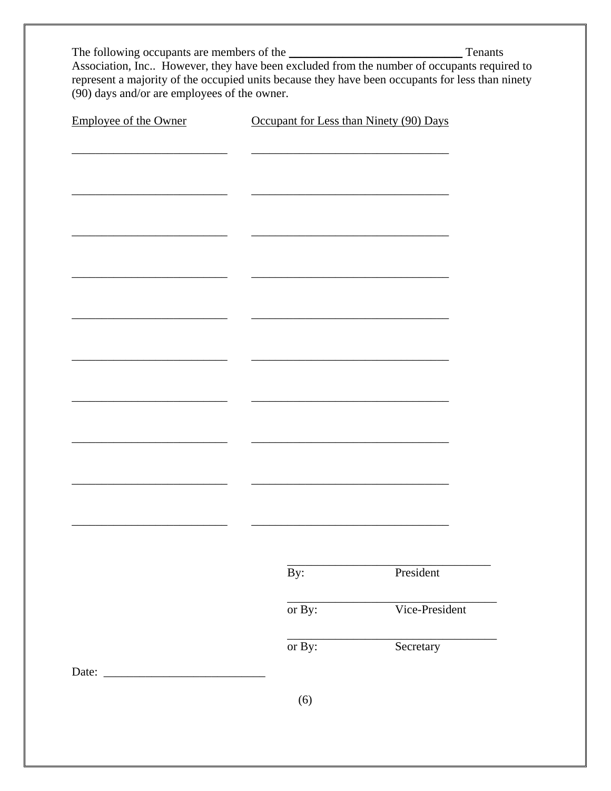The following occupants are members of the Tenants<br>Association, Inc.. However, they have been excluded from the number of occupants required to represent a majority of the occupied units because they have been occupants for less than ninety  $(90)$  days and/or are employees of the owner.

| <b>Employee of the Owner</b> |                  | Occupant for Less than Ninety (90) Days |  |  |
|------------------------------|------------------|-----------------------------------------|--|--|
|                              |                  |                                         |  |  |
|                              |                  |                                         |  |  |
|                              |                  |                                         |  |  |
|                              |                  |                                         |  |  |
|                              |                  |                                         |  |  |
|                              |                  |                                         |  |  |
|                              |                  |                                         |  |  |
|                              |                  |                                         |  |  |
|                              |                  |                                         |  |  |
|                              |                  |                                         |  |  |
|                              |                  |                                         |  |  |
|                              |                  |                                         |  |  |
|                              |                  |                                         |  |  |
|                              |                  |                                         |  |  |
|                              |                  |                                         |  |  |
|                              |                  |                                         |  |  |
|                              |                  |                                         |  |  |
|                              |                  |                                         |  |  |
|                              |                  |                                         |  |  |
|                              |                  |                                         |  |  |
|                              |                  |                                         |  |  |
|                              |                  |                                         |  |  |
|                              | $\overline{By:}$ | President                               |  |  |
|                              | or By:           | Vice-President                          |  |  |
|                              |                  |                                         |  |  |
|                              | or By:           | Secretary                               |  |  |
|                              |                  |                                         |  |  |

 $(6)$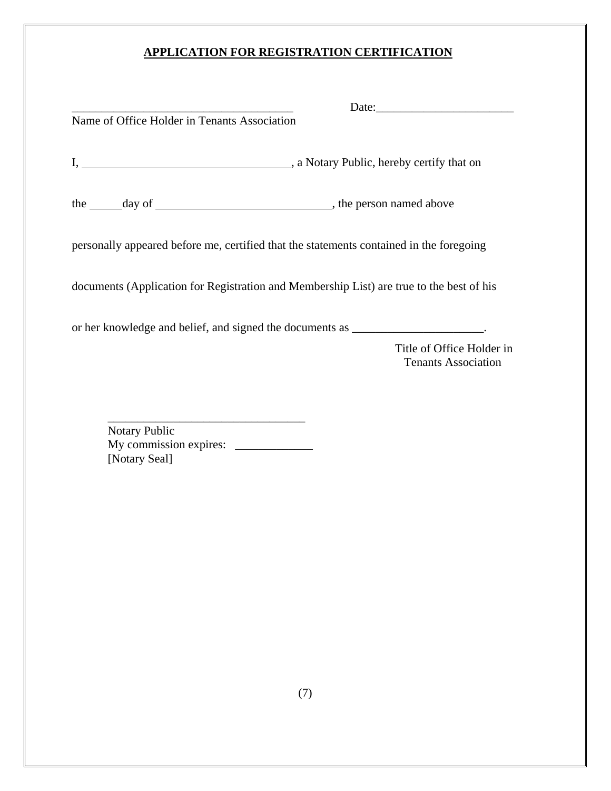# **APPLICATION FOR REGISTRATION CERTIFICATION**

|                                                                                          | Date:                                                   |
|------------------------------------------------------------------------------------------|---------------------------------------------------------|
| Name of Office Holder in Tenants Association                                             |                                                         |
|                                                                                          |                                                         |
| the <u>day of discussed</u> , the person named above                                     |                                                         |
| personally appeared before me, certified that the statements contained in the foregoing  |                                                         |
| documents (Application for Registration and Membership List) are true to the best of his |                                                         |
| or her knowledge and belief, and signed the documents as ______________________.         |                                                         |
|                                                                                          | Title of Office Holder in<br><b>Tenants Association</b> |
|                                                                                          |                                                         |

 Notary Public My commission expires: \_\_\_\_\_\_\_\_\_\_\_\_\_ [Notary Seal]

 $\overline{\phantom{a}}$  ,  $\overline{\phantom{a}}$  ,  $\overline{\phantom{a}}$  ,  $\overline{\phantom{a}}$  ,  $\overline{\phantom{a}}$  ,  $\overline{\phantom{a}}$  ,  $\overline{\phantom{a}}$  ,  $\overline{\phantom{a}}$  ,  $\overline{\phantom{a}}$  ,  $\overline{\phantom{a}}$  ,  $\overline{\phantom{a}}$  ,  $\overline{\phantom{a}}$  ,  $\overline{\phantom{a}}$  ,  $\overline{\phantom{a}}$  ,  $\overline{\phantom{a}}$  ,  $\overline{\phantom{a}}$